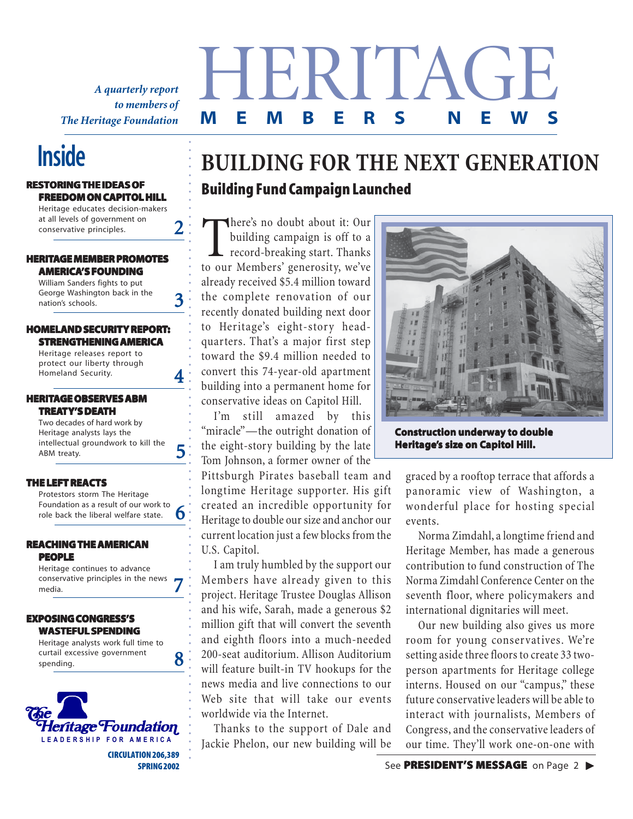*A quarterly report to members of The Heritage Foundation*

#### **RESTORING THE IDEAS OF FREEDOM ON CAPITOL HILL**

Heritage educates decision-makers at all levels of government on conservative principles.

○○○○○○○○○○○○○○○○○○○

2

3

4

5

6

○○○○○○○○○○○○○○○○○○○○○○○○○○○○○○○○○○○○○○○○○○○○○○○○○○○○○○○○○

#### **HERITAGE MEMBER PROMOTES AMERICA'S FOUNDING**

William Sanders fights to put George Washington back in the nation's schools.

#### **HOMELAND SECURITY REPORT: STRENGTHENING AMERICA**

Heritage releases report to protect our liberty through Homeland Security.

#### **HERITAGE OBSERVES ABM TREATY'S DEATH**

Two decades of hard work by Heritage analysts lays the intellectual groundwork to kill the ABM treaty.

#### **THE LEFT REACTS**

Protestors storm The Heritage Foundation as a result of our work to role back the liberal welfare state.

#### **REACHING THE AMERICAN PEOPLE**

Heritage continues to advance conservative principles in the news media. 7



 **CIRCULATION 206,389 SPRING 2002**

# **Inside EXECUTE:** BUILDING FOR THE NEXT GENERATION **Building Fund Campaign Launched**

HERITAGE

**MEMBERS NEWS**

already received \$5.4 million toward<br>the complete **reportion** of our **schools of excellence,** recently donated building next door to Heritage's eight-story headquarters. That's a major first step<br>toward the <sup>\$0.4</sup> million needed to **that are excellent.** convert this 74-year-old apartment **Conversely, if we seek to** building into a permanent home for conservative ideas on Capitol Hill.<br>
conservative ideas on Capitol Hill. There's no doubt about it: Our<br>building campaign is off to a<br>record-breaking start. Thanks<br>to our Members' generosity, we've here's no doubt about it: Our building campaign is off to a record-breaking start. Thanks the complete renovation of our toward the \$9.4 million needed to

"miracle"—the outright donation of the eight-story building by the late I'm still amazed by this Tom Johnson, a former owner of the

Pittsburgh Pirates baseball team and longtime Heritage supporter. His gift created an incredible opportunity for Heritage to double our size and anchor our current location just a few blocks from the U.S. Capitol.

I am truly humbled by the support our Members have already given to this project. Heritage Trustee Douglas Allison and his wife, Sarah, made a generous \$2 million gift that will convert the seventh and eighth floors into a much-needed 200-seat auditorium. Allison Auditorium will feature built-in TV hookups for the news media and live connections to our Web site that will take our events worldwide via the Internet.

Thanks to the support of Dale and Jackie Phelon, our new building will be



**Construction underway to double Heritage's size on Capitol Hill.** 

graced by a rooftop terrace that affords a panoramic view of Washington, a wonderful place for hosting special events.

Norma Zimdahl, a longtime friend and Heritage Member, has made a generous contribution to fund construction of The Norma Zimdahl Conference Center on the seventh floor, where policymakers and international dignitaries will meet.

Our new building also gives us more room for young conservatives. We're setting aside three floors to create 33 twoperson apartments for Heritage college interns. Housed on our "campus," these future conservative leaders will be able to interact with journalists, Members of Congress, and the conservative leaders of our time. They'll work one-on-one with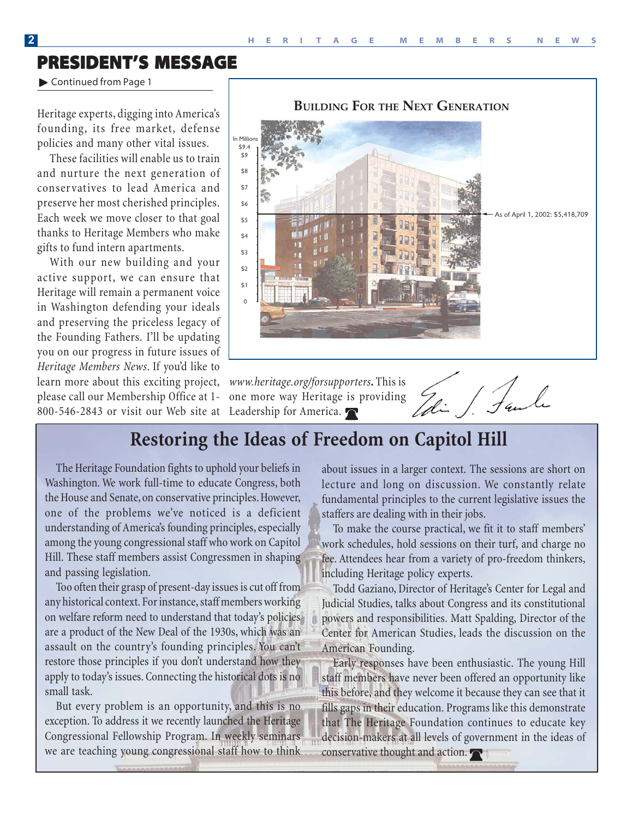**BUILDING FOR THE NEXT GENERATI** 

### **PRESIDENT'S MESSAGE**

▶ Continued from Page 1

Heritage experts, digging into America's founding, its free market, defense policies and many other vital issues.

These facilities will enable us to train and nurture the next generation of conservatives to lead America and preserve her most cherished principles. Each week we move closer to that goal thanks to Heritage Members who make gifts to fund intern apartments.

With our new building and your active support, we can ensure that Heritage will remain a permanent voice in Washington defending your ideals and preserving the priceless legacy of the Founding Fathers. I'll be updating you on our progress in future issues of *Heritage Members News*. If you'd like to learn more about this exciting project, please call our Membership Office at 1-

800-546-2843 or visit our Web site at Leadership for America.

### 0  $$1$  $\hat{\mathcal{L}}$  $$3$ \$4 \$5 \$6 \$7 \$8 \$9 \$9.4 In Millio of April 1, 2002: \$5,418,709

*www.heritage.org/forsupporters***.** This is one more way Heritage is providing

li / Saule

 $\frac{1}{2}$ 

### **Restoring the Ideas of Freedom on Capitol Hill**

The Heritage Foundation fights to uphold your beliefs in Washington. We work full-time to educate Congress, both the House and Senate, on conservative principles. However, one of the problems we've noticed is a deficient understanding of America's founding principles, especially among the young congressional staff who work on Capitol Hill. These staff members assist Congressmen in shaping and passing legislation.

Too often their grasp of present-day issues is cut off from any historical context. For instance, staff members working on welfare reform need to understand that today's policies are a product of the New Deal of the 1930s, which was an assault on the country's founding principles. You can't restore those principles if you don't understand how they apply to today's issues. Connecting the historical dots is no small task.

But every problem is an opportunity, and this is no exception. To address it we recently launched the Heritage Congressional Fellowship Program. In weekly seminars we are teaching young congressional staff how to think

about issues in a larger context. The sessions are short on lecture and long on discussion. We constantly relate fundamental principles to the current legislative issues the staffers are dealing with in their jobs.

To make the course practical, we fit it to staff members' work schedules, hold sessions on their turf, and charge no fee. Attendees hear from a variety of pro-freedom thinkers, including Heritage policy experts.

Todd Gaziano, Director of Heritage's Center for Legal and Judicial Studies, talks about Congress and its constitutional powers and responsibilities. Matt Spalding, Director of the Center for American Studies, leads the discussion on the American Founding.

Early responses have been enthusiastic. The young Hill staff members have never been offered an opportunity like this before, and they welcome it because they can see that it fills gaps in their education. Programs like this demonstrate that The Heritage Foundation continues to educate key decision-makers at all levels of government in the ideas of conservative thought and action.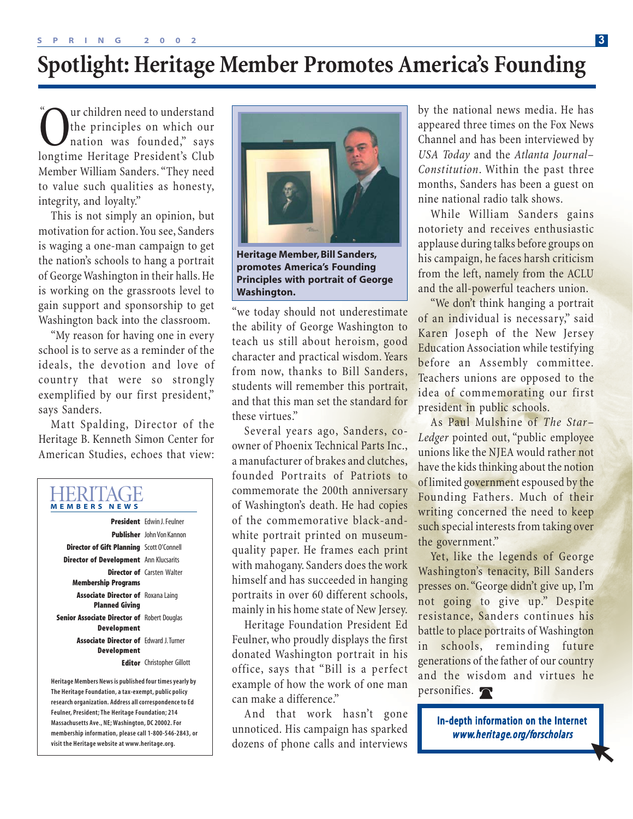# **Spotlight: Heritage Member Promotes America's Founding**

**Canadiates Contains Contains Contains Contains Contains Contains Contains Contains Club**<br> **Contains Contains Contains Club**<br> **Contains Club**<br> **Contains Club** the principles on which our nation was founded," says Member William Sanders. "They need to value such qualities as honesty, integrity, and loyalty."

This is not simply an opinion, but motivation for action. You see, Sanders is waging a one-man campaign to get the nation's schools to hang a portrait of George Washington in their halls. He is working on the grassroots level to gain support and sponsorship to get Washington back into the classroom.

"My reason for having one in every school is to serve as a reminder of the ideals, the devotion and love of country that were so strongly exemplified by our first president," says Sanders.

Matt Spalding, Director of the Heritage B. Kenneth Simon Center for American Studies, echoes that view:

### HERITAGE **MEMBERS NEWS**

|                                                                    | <b>President</b> Fdwin   Feulner  |
|--------------------------------------------------------------------|-----------------------------------|
|                                                                    | <b>Publisher</b> John Von Kannon  |
| <b>Director of Gift Planning</b> Scott O'Connell                   |                                   |
| <b>Director of Development</b> Ann Klucsarits                      |                                   |
| <b>Membership Programs</b>                                         | <b>Director of</b> Carsten Walter |
| <b>Associate Director of Roxana Laing</b><br><b>Planned Giving</b> |                                   |
| Senior Associate Director of Robert Douglas<br><b>Development</b>  |                                   |
| <b>Associate Director of Fdward L Turner</b><br>Development        |                                   |
|                                                                    | <b>Editor</b> Christopher Gillott |

**Heritage Members News is published four times yearly by The Heritage Foundation, a tax-exempt, public policy research organization. Address all correspondence to Ed Feulner, President; The Heritage Foundation; 214 Massachusetts Ave., NE; Washington, DC 20002. For membership information, please call 1-800-546-2843, or visit the Heritage website at www.heritage.org.**



**Heritage Member, Bill Sanders, promotes America's Founding Principles with portrait of George Washington.**

"we today should not underestimate the ability of George Washington to teach us still about heroism, good character and practical wisdom. Years from now, thanks to Bill Sanders, students will remember this portrait, and that this man set the standard for these virtues."

Several years ago, Sanders, coowner of Phoenix Technical Parts Inc., a manufacturer of brakes and clutches, founded Portraits of Patriots to commemorate the 200th anniversary of Washington's death. He had copies of the commemorative black-andwhite portrait printed on museumquality paper. He frames each print with mahogany. Sanders does the work himself and has succeeded in hanging portraits in over 60 different schools, mainly in his home state of New Jersey.

Heritage Foundation President Ed Feulner, who proudly displays the first donated Washington portrait in his office, says that "Bill is a perfect example of how the work of one man can make a difference."

And that work hasn't gone unnoticed. His campaign has sparked dozens of phone calls and interviews appeared three times on the Fox News Channel and has been interviewed by *USA Today* and the *Atlanta Journal– Constitution*. Within the past three months, Sanders has been a guest on nine national radio talk shows.

While William Sanders gains notoriety and receives enthusiastic applause during talks before groups on his campaign, he faces harsh criticism from the left, namely from the ACLU and the all-powerful teachers union.

"We don't think hanging a portrait of an individual is necessary," said Karen Joseph of the New Jersey Education Association while testifying before an Assembly committee. Teachers unions are opposed to the idea of commemorating our first president in public schools.

As Paul Mulshine of *The Star– Ledger* pointed out, "public employee unions like the NJEA would rather not have the kids thinking about the notion of limited government espoused by the Founding Fathers. Much of their writing concerned the need to keep such special interests from taking over the government."

Yet, like the legends of George Washington's tenacity, Bill Sanders presses on. "George didn't give up, I'm not going to give up." Despite resistance, Sanders continues his battle to place portraits of Washington in schools, reminding future generations of the father of our country and the wisdom and virtues he personifies.

> In-depth information on the Internet www.heritage.org/forscholars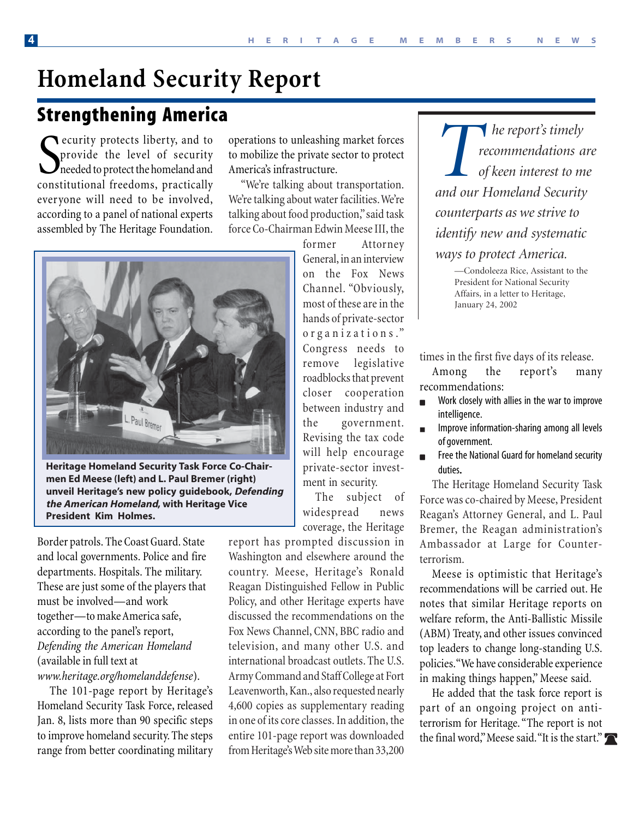# **Homeland Security Report**

### **Strengthening America**

Security protects liberty, and to<br>provide the level of security<br>needed to protect the homeland and<br>constitutional freedoms, practically provide the level of security needed to protect the homeland and constitutional freedoms, practically everyone will need to be involved, according to a panel of national experts assembled by The Heritage Foundation.

operations to unleashing market forces to mobilize the private sector to protect America's infrastructure.

"We're talking about transportation. We're talking about water facilities. We're talking about food production," said task force Co-Chairman Edwin Meese III, the



**Heritage Homeland Security Task Force Co-Chairmen Ed Meese (left) and L. Paul Bremer (right) unveil Heritage's new policy guidebook, Defending the American Homeland, with Heritage Vice President Kim Holmes.**

Border patrols. The Coast Guard. State and local governments. Police and fire departments. Hospitals. The military. These are just some of the players that must be involved—and work together—to make America safe, according to the panel's report, *Defending the American Homeland* (available in full text at *www.heritage.org/homelanddefense*).

The 101-page report by Heritage's Homeland Security Task Force, released Jan. 8, lists more than 90 specific steps to improve homeland security. The steps range from better coordinating military former Attorney General, in an interview on the Fox News Channel. "Obviously, most of these are in the hands of private-sector o r g a n i z a t i o n s ." Congress needs to remove legislative roadblocks that prevent closer cooperation between industry and the government. Revising the tax code will help encourage private-sector investment in security.

The subject of widespread news coverage, the Heritage

report has prompted discussion in Washington and elsewhere around the country. Meese, Heritage's Ronald Reagan Distinguished Fellow in Public Policy, and other Heritage experts have discussed the recommendations on the Fox News Channel, CNN, BBC radio and television, and many other U.S. and international broadcast outlets. The U.S. Army Command and Staff College at Fort Leavenworth, Kan., also requested nearly 4,600 copies as supplementary reading in one of its core classes. In addition, the entire 101-page report was downloaded from Heritage's Web site more than 33,200

*The report's timely*<br> *The report's timely*<br> *and our Homeland Security recommendations are of keen interest to me counterparts as we strive to identify new and systematic ways to protect America.*

> —Condoleeza Rice, Assistant to the President for National Security Affairs, in a letter to Heritage, January 24, 2002

times in the first five days of its release.

Among the report's many recommendations:

- Work closely with allies in the war to improve intelligence.
- Improve information-sharing among all levels of government.
- Free the National Guard for homeland security duties.

The Heritage Homeland Security Task Force was co-chaired by Meese, President Reagan's Attorney General, and L. Paul Bremer, the Reagan administration's Ambassador at Large for Counterterrorism.

Meese is optimistic that Heritage's recommendations will be carried out. He notes that similar Heritage reports on welfare reform, the Anti-Ballistic Missile (ABM) Treaty, and other issues convinced top leaders to change long-standing U.S. policies. "We have considerable experience in making things happen," Meese said.

He added that the task force report is part of an ongoing project on antiterrorism for Heritage. "The report is not the final word," Meese said. "It is the start."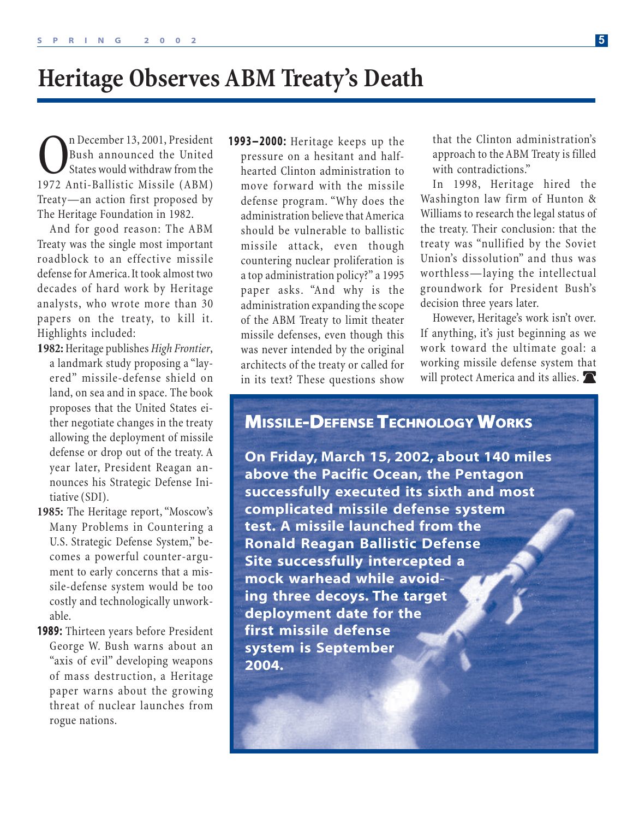# **Heritage Observes ABM Treaty's Death**

The December 13, 2001, President<br>
Bush announced the United<br>
States would withdraw from the<br>
1972 Anti-Ballistic Missile (ABM) Bush announced the United States would withdraw from the 1972 Anti-Ballistic Missile (ABM) Treaty—an action first proposed by The Heritage Foundation in 1982.

And for good reason: The ABM Treaty was the single most important roadblock to an effective missile defense for America. It took almost two decades of hard work by Heritage analysts, who wrote more than 30 papers on the treaty, to kill it. Highlights included:

- **1982:** Heritage publishes *High Frontier*, a landmark study proposing a "layered" missile-defense shield on land, on sea and in space. The book proposes that the United States either negotiate changes in the treaty allowing the deployment of missile defense or drop out of the treaty. A year later, President Reagan announces his Strategic Defense Initiative (SDI).
- **1985:** The Heritage report, "Moscow's Many Problems in Countering a U.S. Strategic Defense System," becomes a powerful counter-argument to early concerns that a missile-defense system would be too costly and technologically unworkable.
- 1989: Thirteen years before President George W. Bush warns about an "axis of evil" developing weapons of mass destruction, a Heritage paper warns about the growing threat of nuclear launches from rogue nations.

1993–2000: Heritage keeps up the pressure on a hesitant and halfhearted Clinton administration to move forward with the missile defense program. "Why does the administration believe that America should be vulnerable to ballistic missile attack, even though countering nuclear proliferation is a top administration policy?" a 1995 paper asks. "And why is the administration expanding the scope of the ABM Treaty to limit theater missile defenses, even though this was never intended by the original architects of the treaty or called for in its text? These questions show

that the Clinton administration's approach to the ABM Treaty is filled with contradictions."

In 1998, Heritage hired the Washington law firm of Hunton & Williams to research the legal status of the treaty. Their conclusion: that the treaty was "nullified by the Soviet Union's dissolution" and thus was worthless—laying the intellectual groundwork for President Bush's decision three years later.

However, Heritage's work isn't over. If anything, it's just beginning as we work toward the ultimate goal: a working missile defense system that will protect America and its allies.

### **MISSILE-DEFENSE TECHNOLOGY WORKS**

**On Friday, March 15, 2002, about 140 miles above the Pacific Ocean, the Pentagon successfully executed its sixth and most complicated missile defense system test. A missile launched from the Ronald Reagan Ballistic Defense Site successfully intercepted a mock warhead while avoiding three decoys. The target deployment date for the first missile defense system is September 2004.**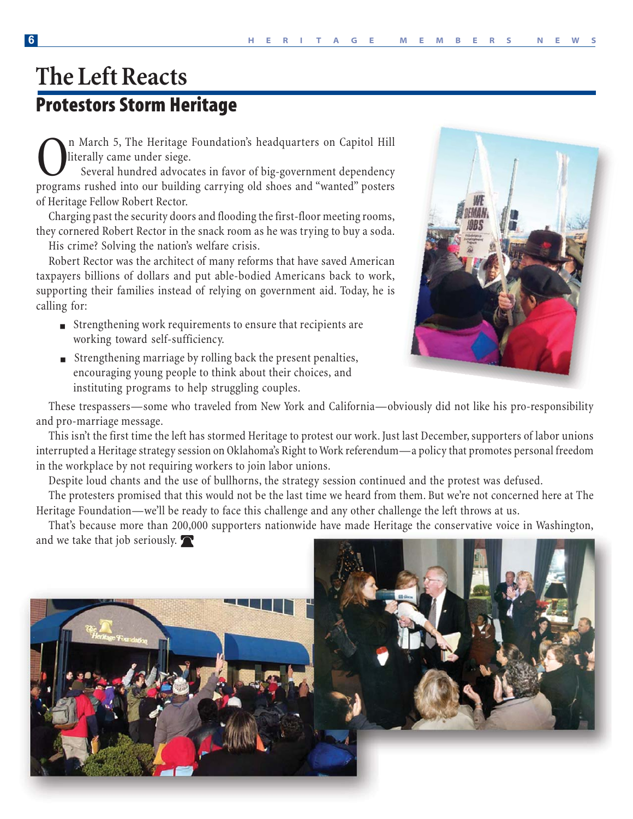# **The Left Reacts Protestors Storm Heritage**

n March 5, The Heritage Foundation's headquarters on Capitol Hill literally came under siege.

 Several hundred advocates in favor of big-government dependency programs rushed into our building carrying old shoes and "wanted" posters of Heritage Fellow Robert Rector.

Charging past the security doors and flooding the first-floor meeting rooms, they cornered Robert Rector in the snack room as he was trying to buy a soda.

His crime? Solving the nation's welfare crisis.

Robert Rector was the architect of many reforms that have saved American taxpayers billions of dollars and put able-bodied Americans back to work, supporting their families instead of relying on government aid. Today, he is calling for:

- Strengthening work requirements to ensure that recipients are working toward self-sufficiency.
- Strengthening marriage by rolling back the present penalties, encouraging young people to think about their choices, and instituting programs to help struggling couples.



These trespassers—some who traveled from New York and California—obviously did not like his pro-responsibility and pro-marriage message.

This isn't the first time the left has stormed Heritage to protest our work. Just last December, supporters of labor unions interrupted a Heritage strategy session on Oklahoma's Right to Work referendum—a policy that promotes personal freedom in the workplace by not requiring workers to join labor unions.

Despite loud chants and the use of bullhorns, the strategy session continued and the protest was defused.

The protesters promised that this would not be the last time we heard from them. But we're not concerned here at The Heritage Foundation—we'll be ready to face this challenge and any other challenge the left throws at us.

That's because more than 200,000 supporters nationwide have made Heritage the conservative voice in Washington, and we take that job seriously.

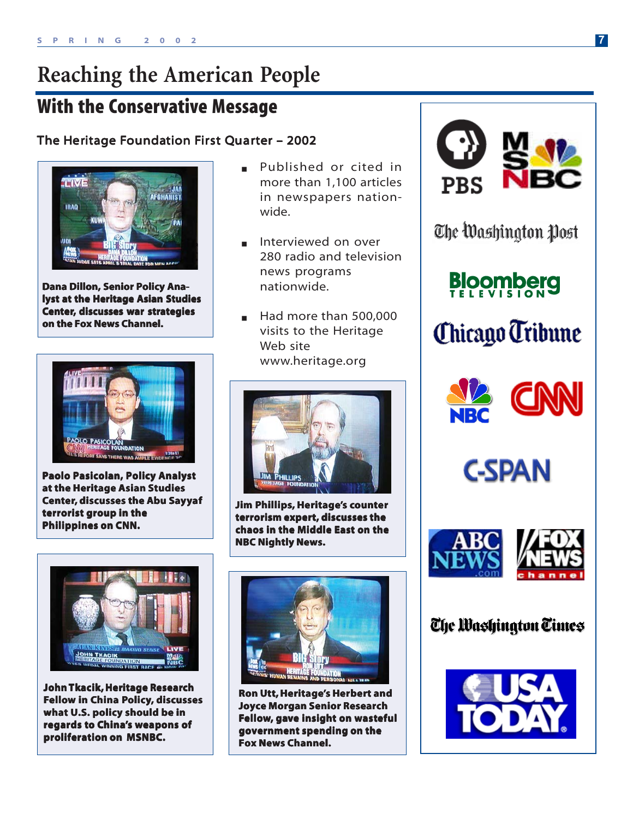# **Reaching the American People**

### **With the Conservative Message**

### The Heritage Foundation First Quarter – 2002



**Dana Dillon, Senior Policy Analyst at the Heritage Asian Studies Center, discusses war strategies on the Fox News Channel.** 



**Paolo Pasicolan, Policy Analyst at the Heritage Asian Studies Center, discusses the Abu Sayyaf terrorist group in the Philippines on CNN. Philippines on CNN.**



**John Tkacik, Heritage Research Fellow in China Policy, discusses what U.S. policy should be in regards to China's weapons of proliferation on MSNBC. proliferation MSNBC.**

- Published or cited in more than 1,100 articles in newspapers nationwide.
- Interviewed on over 280 radio and television news programs nationwide.
- Had more than 500,000 visits to the Heritage Web site www.heritage.org



**Jim Phillips, Heritage's counter terrorism expert, discusses the chaos in the Middle East on the NBC Nightly News.** 



**Ron Utt, Heritage's Herbert and Joyce Morgan Senior Research Fellow, gave insight on wasteful government spending on the Fox News Channel. Fox News Channel.**



The Washington Post

**Bloomberg** 









### The Washington Times